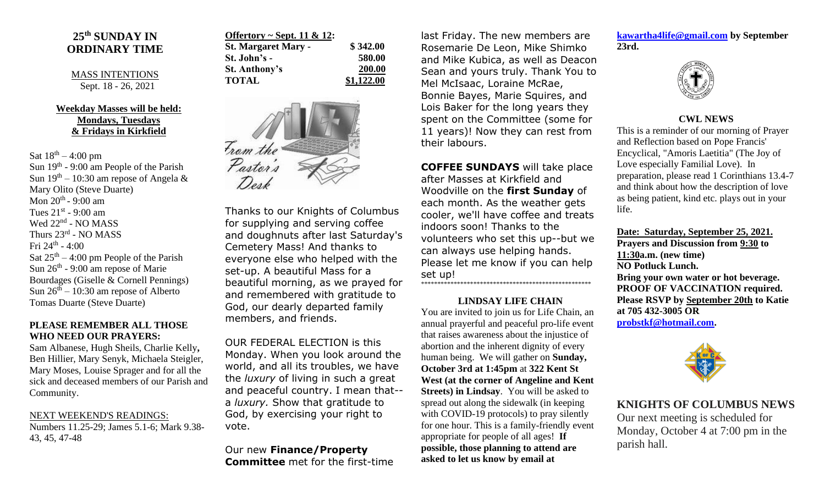## **25 th SUNDAY IN ORDINARY TIME**

MASS INTENTIONS Sept. 18 - 26, 2021

## **Weekday Masses will be held: Mondays, Tuesdays & Fridays in Kirkfield**

Sat  $18^{th} - 4:00$  pm Sun  $19<sup>th</sup>$  - 9:00 am People of the Parish Sun  $19<sup>th</sup> - 10:30$  am repose of Angela & Mary Olito (Steve Duarte) Mon 20<sup>th</sup> - 9:00 am Tues  $21<sup>st</sup>$  - 9:00 am Wed 22<sup>nd</sup> - NO MASS Thurs 23rd - NO MASS Fri 24<sup>th</sup> - 4:00 Sat  $25<sup>th</sup> - 4:00$  pm People of the Parish Sun  $26<sup>th</sup>$  - 9:00 am repose of Marie Bourdages (Giselle & Cornell Pennings) Sun  $26<sup>th</sup> - 10:30$  am repose of Alberto Tomas Duarte (Steve Duarte)

## **PLEASE REMEMBER ALL THOSE WHO NEED OUR PRAYERS:**

Sam Albanese, Hugh Sheils, Charlie Kelly**,**  Ben Hillier, Mary Senyk, Michaela Steigler, Mary Moses, Louise Sprager and for all the sick and deceased members of our Parish and Community.

#### NEXT WEEKEND'S READINGS:

Numbers 11.25-29; James 5.1-6; Mark 9.38- 43, 45, 47-48

| Offertory ~ Sept. 11 & 12: |            |
|----------------------------|------------|
| <b>St. Margaret Mary -</b> | \$342.00   |
| St. John's -               | 580.00     |
| <b>St. Anthony's</b>       | 200.00     |
| <b>TOTAL</b>               | \$1,122.00 |



Thanks to our Knights of Columbus for supplying and serving coffee and doughnuts after last Saturday's Cemetery Mass! And thanks to everyone else who helped with the set-up. A beautiful Mass for a beautiful morning, as we prayed for and remembered with gratitude to God, our dearly departed family members, and friends.

OUR FEDERAL ELECTION is this Monday. When you look around the world, and all its troubles, we have the *luxury* of living in such a great and peaceful country. I mean that- a *luxury.* Show that gratitude to God, by exercising your right to vote.

Our new **Finance/Property Committee** met for the first-time last Friday. The new members are Rosemarie De Leon, Mike Shimko and Mike Kubica, as well as Deacon Sean and yours truly. Thank You to Mel McIsaac, Loraine McRae, Bonnie Bayes, Marie Squires, and Lois Baker for the long years they spent on the Committee (some for 11 years)! Now they can rest from their labours.

**COFFEE SUNDAYS** will take place

after Masses at Kirkfield and Woodville on the **first Sunday** of each month. As the weather gets cooler, we'll have coffee and treats indoors soon! Thanks to the volunteers who set this up--but we can always use helping hands. Please let me know if you can help set up! \*\*\*\*\*\*\*\*\*\*\*\*\*\*\*\*\*\*\*\*\*\*\*\*\*\*\*\*\*\*\*\*\*\*\*\*\*\*\*\*\*\*\*\*\*\*\*\*\*\*\*\*

#### **LINDSAY LIFE CHAIN**

You are invited to join us for Life Chain, an annual prayerful and peaceful pro-life event that raises awareness about the injustice of abortion and the inherent dignity of every human being. We will gather on **Sunday, October 3rd at 1:45pm** at **322 Kent St West (at the corner of Angeline and Kent Streets) in Lindsay**. You will be asked to spread out along the sidewalk (in keeping with COVID-19 protocols) to pray silently for one hour. This is a family-friendly event appropriate for people of all ages! **If possible, those planning to attend are asked to let us know by email at** 

**[kawartha4life@gmail.com](mailto:kawartha4life@gmail.com) by September 23rd.** 



## **CWL NEWS**

This is a reminder of our morning of Prayer and Reflection based on Pope Francis' Encyclical, "Amoris Laetitia" (The Joy of Love especially Familial Love). In preparation, please read 1 Corinthians 13.4-7 and think about how the description of love as being patient, kind etc. plays out in your life.

**Date: Saturday, September 25, 2021.**

**Prayers and Discussion from 9:30 to 11:30a.m. (new time) NO Potluck Lunch. Bring your own water or hot beverage. PROOF OF VACCINATION required. Please RSVP by September 20th to Katie at 705 432-3005 OR [probstkf@hotmail.com.](mailto:probstkf@hotmail.com)**



# **KNIGHTS OF COLUMBUS NEWS**

Our next meeting is scheduled for Monday, October 4 at 7:00 pm in the parish hall.